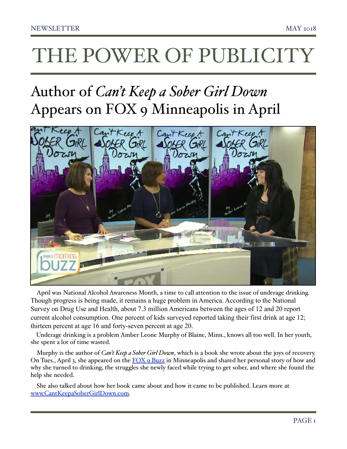# THE POWER OF PUBLICITY

# Author of *Can't Keep a Sober Girl Down* Appears on FOX 9 Minneapolis in April



April was National Alcohol Awareness Month, a time to call attention to the issue of underage drinking. Though progress is being made, it remains a huge problem in America. According to the National Survey on Drug Use and Health, about 7.3 million Americans between the ages of 12 and 20 report current alcohol consumption. One percent of kids surveyed reported taking their first drink at age 12; thirteen percent at age 16 and forty-seven percent at age 20.

 Underage drinking is a problem Amber Leone Murphy of Blaine, Minn., knows all too well. In her youth, she spent a lot of time wasted.

Murphy is the author of *Can't Keep a Sober Girl Down*, which is a book she wrote about the joys of recovery. On Tues., April 3, she appeared on the [FOX 9 Buzz](https://youtu.be/M8UpXrqrwWg) in Minneapolis and shared her personal story of how and why she turned to drinking, the struggles she newly faced while trying to get sober, and where she found the help she needed.

She also talked about how her book came about and how it came to be published. Learn more at [www.CantKeepaSoberGirlDown.com.](http://www.CantKeepaSoberGirlDown.com)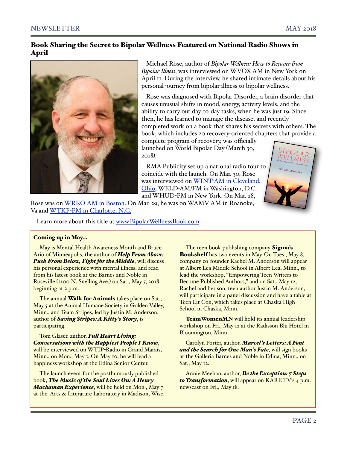# Book Sharing the Secret to Bipolar Wellness Featured on National Radio Shows in April



 Michael Rose, author of *Bipolar Welness: How to Recover fom Bipolar Ilness*, was interviewed on WVOX-AM in New York on April 11. During the interview, he shared intimate details about his personal journey from bipolar illness to bipolar wellness.

 Rose was diagnosed with Bipolar Disorder, a brain disorder that causes unusual shifts in mood, energy, activity levels, and the ability to carry out day-to-day tasks, when he was just 19. Since then, he has learned to manage the disease, and recently completed work on a book that shares his secrets with others. The book, which includes 20 recovery-oriented chapters that provide a

complete program of recovery, was officially launched on World Bipolar Day (March 30, 2018).

 RMA Publicity set up a national radio tour to coincide with the launch. On Mar. 30, Rose was interviewed on WINT-[AM in Cleveland,](http://www.rmapublicity.com/images/stories/Audio/Bipolar%20Wellness%20-%20WINT%20Radio,%20Cleveland%20-%20April%202,%202018.mp3)  [Ohio,](http://www.rmapublicity.com/images/stories/Audio/Bipolar%20Wellness%20-%20WINT%20Radio,%20Cleveland%20-%20April%202,%202018.mp3) WELD-AM/FM in Washington, D.C. and WHUD-FM in New York. On Mar. 28,



Rose was on WRKO-[AM in Boston.](http://www.rmapublicity.com/images/stories/Audio/Bipolar%20Wellness%20-%20WRKO%20Radio,%20Boston%20-%20March%2028,%202018.mp3) On Mar. 29, he was on WAMV-AM in Roanoke, Va.and WTKF-[FM in Charlotte, N.C.](http://www.rmapublicity.com/images/stories/Audio/Bipolar%20Wellness%20-%20WTKF%20Radio,%20Charlotte%20-%20%20March%2030,%202018.mp3)

Learn more about this title at [www.BipolarWellnessBook.com.](http://www.bipolarwellnessbook.com)

#### Coming up in May...

May is Mental Health Awareness Month and Bruce Ario of Minneapolis, the author of *Help From Above, Push From Below, Fight for the Middle*, will discuss his personal experience with mental illness, and read from his latest book at the Barnes and Noble in Roseville (2100 N. Snelling Ave.) on Sat., May 5, 2018, beginning at 2 p.m.

The annual Walk for Animals takes place on Sat., May 5 at the Animal Humane Society in Golden Valley, Minn., and Team Stripes, led by Justin M. Anderson, author of *Saving Stripes: A Kitty's Story*, is participating.

Tom Glaser, author, *Ful Heart Living: Conversations with the Happiest People I Know*, will be interviewed on WTIP-Radio in Grand Marais, Minn., on Mon., May 7. On May 10, he will lead a happiness workshop at the Edina Senior Center.

The launch event for the posthumously published book, *The Music of the Soul Lives On: A Henry Mackaman Experience*, will be held on Mon., May 7 at the Arts & Literature Laboratory in Madison, Wisc.

The teen book publishing company Sigma's Bookshelf has two events in May. On Tues., May 8, company co-founder Rachel M. Anderson will appear at Albert Lea Middle School in Albert Lea, Minn., to lead the workshop, "Empowering Teen Writers to Become Published Authors," and on Sat., May 12, Rachel and her son, teen author Justin M. Anderson, will participate in a panel discussion and have a table at Teen Lit Con, which takes place at Chaska High School in Chaska, Minn.

TeamWomenMN will hold its annual leadership workshop on Fri., May 12 at the Radisson Blu Hotel in Bloomington, Minn.

Carolyn Porter, author, *Marcel's Letters: A Font and the Search for One Man's Fate*, will sign books at the Galleria Barnes and Noble in Edina, Minn., on Sat., May 12.

Annie Meehan, author, *Be the Exception: 7 Steps to Transformation*, will appear on KARE TV's 4 p.m. newscast on Fri., May 18.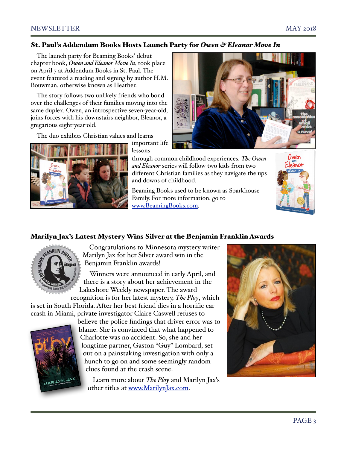# St. Paul's Addendum Books Hosts Launch Party for *Owen & Eleanor Move In*

The launch party for Beaming Books' debut chapter book, *Owen and Eleanor Move In*, took place on April 7 at Addendum Books in St. Paul. The event featured a reading and signing by author H.M. Bouwman, otherwise known as Heather.

The story follows two unlikely friends who bond over the challenges of their families moving into the same duplex. Owen, an introspective seven-year-old, joins forces with his downstairs neighbor, Eleanor, a gregarious eight-year-old.

The duo exhibits Christian values and learns



important life lessons

through common childhood experiences. *The Owen and Eleanor* series will follow two kids from two different Christian families as they navigate the ups and downs of childhood.

Beaming Books used to be known as Sparkhouse Family. For more information, go to [www.BeamingBooks.com.](http://www.BeamingBooks.com)



# Marilyn Jax's Latest Mystery Wins Silver at the Benjamin Franklin Awards



 Congratulations to Minnesota mystery writer Marilyn Jax for her Silver award win in the Benjamin Franklin awards!

 Winners were announced in early April, and there is a story about her achievement in the [Lakeshore Weekly newspaper.](http://www.swnewsmedia.com/lakeshore_weekly/news/local/minnetonka-author-wins-benjamin-franklin-book-award/article_8cda7e43-545b-5811-997c-6b143c32ef50.html) The award

recognition is for her latest mystery, *The Ploy*, which is set in South Florida. After her best friend dies in a horrific car crash in Miami, private investigator Claire Caswell refuses to



believe the police findings that driver error was to blame. She is convinced that what happened to Charlotte was no accident. So, she and her longtime partner, Gaston "Guy" Lombard, set out on a painstaking investigation with only a hunch to go on and some seemingly random clues found at the crash scene.

 Learn more about *The Ploy* and Marilyn Jax's other titles at [www.MarilynJax.com.](http://www.marilynjax.com)

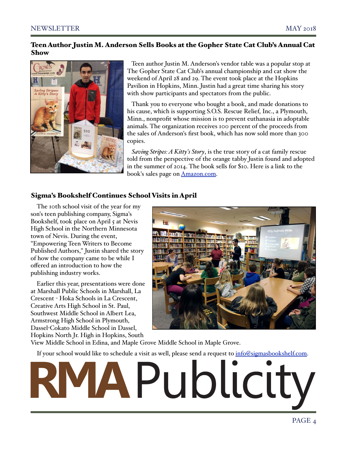# Teen Author Justin M. Anderson Sells Books at the Gopher State Cat Club's Annual Cat Show



 Teen author Justin M. Anderson's vendor table was a popular stop at The Gopher State Cat Club's annual championship and cat show the weekend of April 28 and 29. The event took place at the Hopkins Pavilion in Hopkins, Minn. Justin had a great time sharing his story with show participants and spectators from the public.

 Thank you to everyone who bought a book, and made donations to his cause, which is supporting [S.O.S. Rescue Relief, Inc.,](https://www.theadoptapetshop.org/) a Plymouth, Minn., nonprofit whose mission is to prevent euthanasia in adoptable animals. The organization receives 100 percent of the proceeds from the sales of Anderson's first book, which has now sold more than 300 copies.

 *Saving Stripes: A Kitty's Story*, is the true story of a cat family rescue told from the perspective of the orange tabby Justin found and adopted in the summer of 2014. The book sells for \$10. Here is a link to the book's sales page on **Amazon.com.** 

# Sigma's Bookshelf Continues School Visits in April

The 10th school visit of the year for my son's teen publishing company, Sigma's Bookshelf, took place on April 5 at Nevis High School in the Northern Minnesota town of Nevis. During the event, "Empowering Teen Writers to Become Published Authors," Justin shared the story of how the company came to be while I offered an introduction to how the publishing industry works.

Earlier this year, presentations were done at Marshall Public Schools in Marshall, La Crescent - Hoka Schools in La Crescent, Creative Arts High School in St. Paul, Southwest Middle School in Albert Lea, Armstrong High School in Plymouth, Dassel-Cokato Middle School in Dassel, Hopkins North Jr. High in Hopkins, South



View Middle School in Edina, and Maple Grove Middle School in Maple Grove.

If your school would like to schedule a visit as well, please send a request to [info@sigmasbookshelf.com.](mailto:info@sigmasbookshelf.com?subject=request%20for%20a%20Sigma)

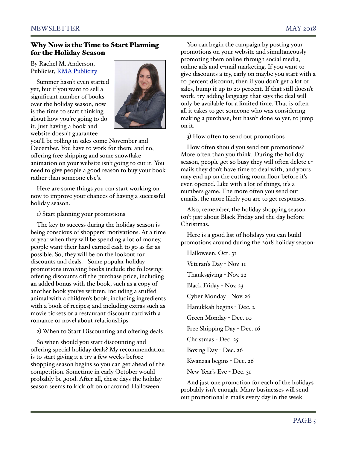# Why Now is the Time to Start Planning for the Holiday Season

#### By Rachel M. Anderson, Publicist, [RMA Publicity](http://www.rmapublicity.com)

Summer hasn't even started yet, but if you want to sell a significant number of books over the holiday season, now is the time to start thinking about how you're going to do it. Just having a book and website doesn't guarantee



you'll be rolling in sales come November and December. You have to work for them; and no, offering free shipping and some snowflake animation on your website isn't going to cut it. You need to give people a good reason to buy your book rather than someone else's.

Here are some things you can start working on now to improve your chances of having a successful holiday season.

#### 1) Start planning your promotions

The key to success during the holiday season is being conscious of shoppers' motivations. At a time of year when they will be spending a lot of money, people want their hard earned cash to go as far as possible. So, they will be on the lookout for discounts and deals. Some popular holiday promotions involving books include the following: offering discounts off the purchase price; including an added bonus with the book, such as a copy of another book you've written; including a stuffed animal with a children's book; including ingredients with a book of recipes; and including extras such as movie tickets or a restaurant discount card with a romance or novel about relationships.

#### 2) When to Start Discounting and offering deals

So when should you start discounting and offering special holiday deals? My recommendation is to start giving it a try a few weeks before shopping season begins so you can get ahead of the competition. Sometime in early October would probably be good. After all, these days the holiday season seems to kick off on or around Halloween.

You can begin the campaign by posting your promotions on your website and simultaneously promoting them online through social media, online ads and e-mail marketing. If you want to give discounts a try, early on maybe you start with a 10 percent discount, then if you don't get a lot of sales, bump it up to 20 percent. If that still doesn't work, try adding language that says the deal will only be available for a limited time. That is often all it takes to get someone who was considering making a purchase, but hasn't done so yet, to jump on it.

3) How often to send out promotions

How often should you send out promotions? More often than you think. During the holiday season, people get so busy they will often delete emails they don't have time to deal with, and yours may end up on the cutting room floor before it's even opened. Like with a lot of things, it's a numbers game. The more often you send out emails, the more likely you are to get responses.

Also, remember, the holiday shopping season isn't just about Black Friday and the day before Christmas.

Here is a good list of holidays you can build promotions around during the 2018 holiday season:

Halloween: Oct. 31 Veteran's Day - Nov. 11 Thanksgiving - Nov. 22 Black Friday - Nov. 23 Cyber Monday - Nov. 26 Hanukkah begins - Dec. 2 Green Monday - Dec. 10 Free Shipping Day - Dec. 16 Christmas - Dec. 25 Boxing Day - Dec. 26 Kwanzaa begins - Dec. 26 New Year's Eve - Dec. 31

And just one promotion for each of the holidays probably isn't enough. Many businesses will send out promotional e-mails every day in the week